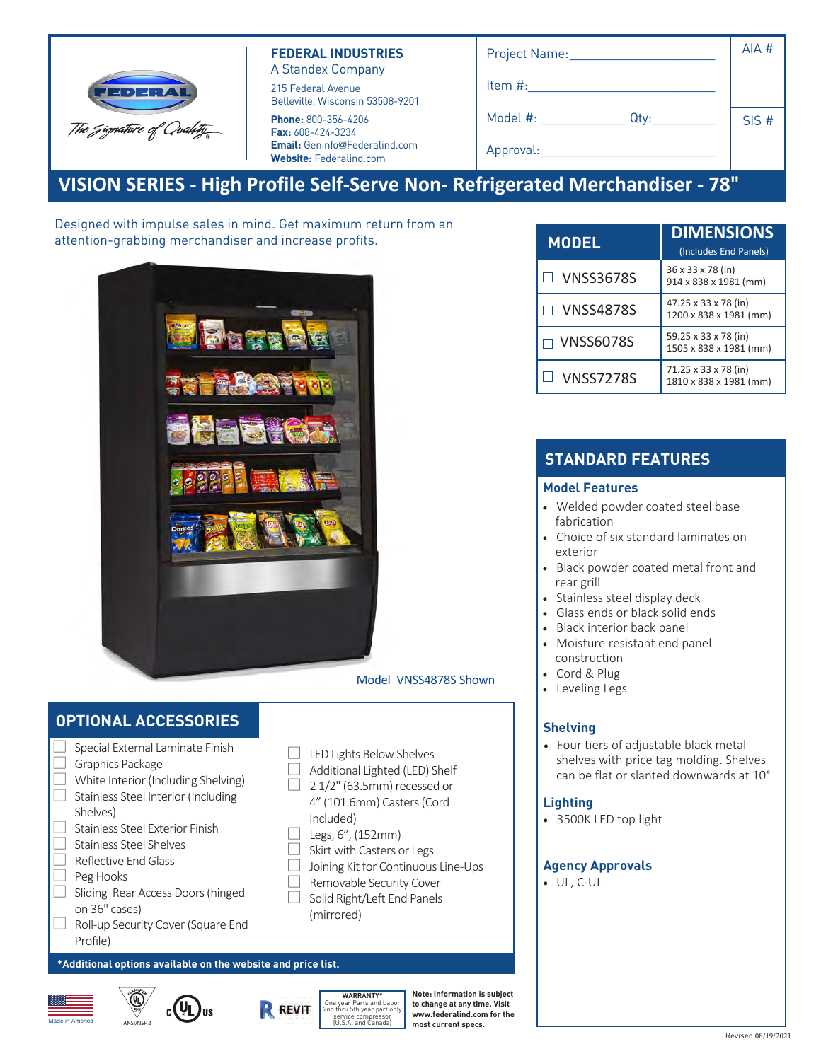

### **FEDERAL INDUSTRIES** A Standex Company

215 Federal Avenue Belleville, Wisconsin 53508-9201

**Phone:** 800-356-4206 **Fax:** 608-424-3234 **Email:** Geninfo@Federalind.com **Website:** Federalind.com

| Project Name:    | AIA # |
|------------------|-------|
| Item #:          |       |
| Model #:<br>Qty: | SIS#  |
| Approval:        |       |

# **VISION SERIES - High Profile Self-Serve Non- Refrigerated Merchandiser - 78"**

Designed with impulse sales in mind. Get maximum return from an attention-grabbing merchandiser and increase profits.



### Model VNSS4878S Shown

## **OPTIONAL ACCESSORIES**

Special Exterior Laminate Finish Graphics Package White Interior (Induding Shelving) Stainless Steel Interior (Including Shelves) Stainless Steel Exterior Finish Stainless Steel Shelves Solid Right Left End Panels (mirrored) CurveV Ends Reflective End Glass Peg Hooks

Sliding Rear Access Doors Roll-up Security Cover (Square End Profile) Removable Security Cover LED Lights Below Shelves Additional Lighted (LED) Shelf Front Cart Bumper Recessed or 4" (101.6mm) Casters Legs, 6", (152mm) Skirt with Casters or Legs Joining Kit for Continuous Line-Ups

### **\*Additional options available on the website and price list.**







**WARRANTY\*** One year Parts and Labor 2nd thru 5th year part only **R** REVIT Made in America ANSI/NSF 2 2002 Made in America ANSI/NSF 2 2009

**Note: Information is subject to change at any time. Visit www.federalind.com for the most current specs.**

| <b>MODEL</b>     | <b>DIMENSIONS</b><br>(Includes End Panels)     |  |  |  |  |
|------------------|------------------------------------------------|--|--|--|--|
| <b>VNSS3678S</b> | 36 x 33 x 78 (in)<br>914 x 838 x 1981 (mm)     |  |  |  |  |
| <b>VNSS4878S</b> | 47.25 x 33 x 78 (in)<br>1200 x 838 x 1981 (mm) |  |  |  |  |
| <b>VNSS6078S</b> | 59.25 x 33 x 78 (in)<br>1505 x 838 x 1981 (mm) |  |  |  |  |
| <b>VNSS7278S</b> | 71.25 x 33 x 78 (in)<br>1810 x 838 x 1981 (mm) |  |  |  |  |

### **STANDARD FEATURES**

### **Model Features**

- Powder coated base frame
- Choice of six standard laminates on exterior
- Black powder coated metal front and rear grill
- Stainless steel display deck
- Tempered glass ends with choice of six standard color laminates on lower millwork panel - black Standard
- Black interior back panel
- Moisture resistant end panel construction
- Adjustable Leg Levelers
- Cord & Plug

### **Shelving**

• Four tiers of adjustable black metal shelves with price tag molding. Shelves can be flat or slanted downwards at 10°

### **Lighting**

• 3500K LED top light

### **Agency Approvals**

• UL, C-UL, NSF2

Revised 08/19/2021